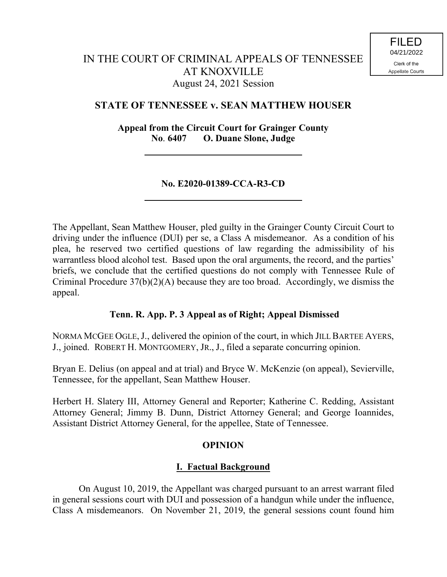## **STATE OF TENNESSEE v. SEAN MATTHEW HOUSER**

**Appeal from the Circuit Court for Grainger County No**. **6407 O. Duane Slone, Judge**

### **No. E2020-01389-CCA-R3-CD**

The Appellant, Sean Matthew Houser, pled guilty in the Grainger County Circuit Court to driving under the influence (DUI) per se, a Class A misdemeanor. As a condition of his plea, he reserved two certified questions of law regarding the admissibility of his warrantless blood alcohol test. Based upon the oral arguments, the record, and the parties' briefs, we conclude that the certified questions do not comply with Tennessee Rule of Criminal Procedure 37(b)(2)(A) because they are too broad. Accordingly, we dismiss the appeal.

### **Tenn. R. App. P. 3 Appeal as of Right; Appeal Dismissed**

NORMA MCGEE OGLE,J., delivered the opinion of the court, in which JILL BARTEE AYERS, J., joined. ROBERT H. MONTGOMERY, JR., J., filed a separate concurring opinion.

Bryan E. Delius (on appeal and at trial) and Bryce W. McKenzie (on appeal), Sevierville, Tennessee, for the appellant, Sean Matthew Houser.

Herbert H. Slatery III, Attorney General and Reporter; Katherine C. Redding, Assistant Attorney General; Jimmy B. Dunn, District Attorney General; and George Ioannides, Assistant District Attorney General, for the appellee, State of Tennessee.

### **OPINION**

## **I. Factual Background**

On August 10, 2019, the Appellant was charged pursuant to an arrest warrant filed in general sessions court with DUI and possession of a handgun while under the influence, Class A misdemeanors. On November 21, 2019, the general sessions count found him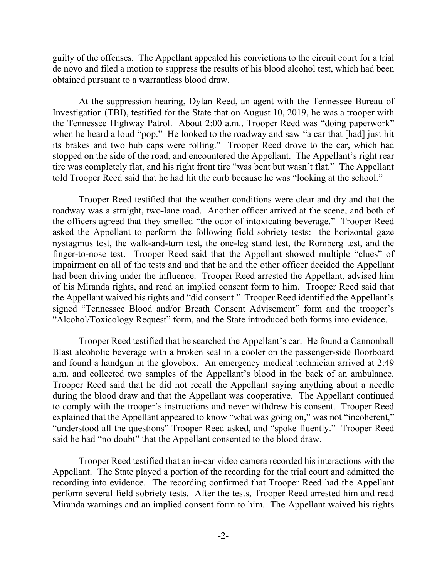guilty of the offenses. The Appellant appealed his convictions to the circuit court for a trial de novo and filed a motion to suppress the results of his blood alcohol test, which had been obtained pursuant to a warrantless blood draw.

At the suppression hearing, Dylan Reed, an agent with the Tennessee Bureau of Investigation (TBI), testified for the State that on August 10, 2019, he was a trooper with the Tennessee Highway Patrol. About 2:00 a.m., Trooper Reed was "doing paperwork" when he heard a loud "pop." He looked to the roadway and saw "a car that [had] just hit its brakes and two hub caps were rolling." Trooper Reed drove to the car, which had stopped on the side of the road, and encountered the Appellant. The Appellant's right rear tire was completely flat, and his right front tire "was bent but wasn't flat." The Appellant told Trooper Reed said that he had hit the curb because he was "looking at the school."

Trooper Reed testified that the weather conditions were clear and dry and that the roadway was a straight, two-lane road. Another officer arrived at the scene, and both of the officers agreed that they smelled "the odor of intoxicating beverage." Trooper Reed asked the Appellant to perform the following field sobriety tests: the horizontal gaze nystagmus test, the walk-and-turn test, the one-leg stand test, the Romberg test, and the finger-to-nose test. Trooper Reed said that the Appellant showed multiple "clues" of impairment on all of the tests and and that he and the other officer decided the Appellant had been driving under the influence. Trooper Reed arrested the Appellant, advised him of his Miranda rights, and read an implied consent form to him. Trooper Reed said that the Appellant waived his rights and "did consent." Trooper Reed identified the Appellant's signed "Tennessee Blood and/or Breath Consent Advisement" form and the trooper's "Alcohol/Toxicology Request" form, and the State introduced both forms into evidence.

Trooper Reed testified that he searched the Appellant's car. He found a Cannonball Blast alcoholic beverage with a broken seal in a cooler on the passenger-side floorboard and found a handgun in the glovebox. An emergency medical technician arrived at 2:49 a.m. and collected two samples of the Appellant's blood in the back of an ambulance. Trooper Reed said that he did not recall the Appellant saying anything about a needle during the blood draw and that the Appellant was cooperative. The Appellant continued to comply with the trooper's instructions and never withdrew his consent. Trooper Reed explained that the Appellant appeared to know "what was going on," was not "incoherent," "understood all the questions" Trooper Reed asked, and "spoke fluently." Trooper Reed said he had "no doubt" that the Appellant consented to the blood draw.

Trooper Reed testified that an in-car video camera recorded his interactions with the Appellant. The State played a portion of the recording for the trial court and admitted the recording into evidence. The recording confirmed that Trooper Reed had the Appellant perform several field sobriety tests. After the tests, Trooper Reed arrested him and read Miranda warnings and an implied consent form to him. The Appellant waived his rights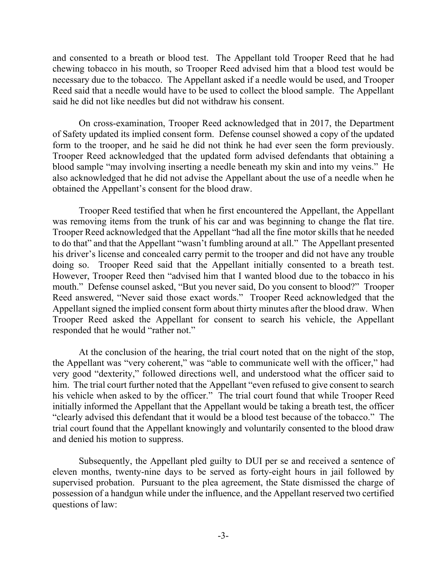and consented to a breath or blood test. The Appellant told Trooper Reed that he had chewing tobacco in his mouth, so Trooper Reed advised him that a blood test would be necessary due to the tobacco. The Appellant asked if a needle would be used, and Trooper Reed said that a needle would have to be used to collect the blood sample. The Appellant said he did not like needles but did not withdraw his consent.

On cross-examination, Trooper Reed acknowledged that in 2017, the Department of Safety updated its implied consent form. Defense counsel showed a copy of the updated form to the trooper, and he said he did not think he had ever seen the form previously. Trooper Reed acknowledged that the updated form advised defendants that obtaining a blood sample "may involving inserting a needle beneath my skin and into my veins." He also acknowledged that he did not advise the Appellant about the use of a needle when he obtained the Appellant's consent for the blood draw.

Trooper Reed testified that when he first encountered the Appellant, the Appellant was removing items from the trunk of his car and was beginning to change the flat tire. Trooper Reed acknowledged that the Appellant "had all the fine motor skills that he needed to do that" and that the Appellant "wasn't fumbling around at all." The Appellant presented his driver's license and concealed carry permit to the trooper and did not have any trouble doing so. Trooper Reed said that the Appellant initially consented to a breath test. However, Trooper Reed then "advised him that I wanted blood due to the tobacco in his mouth." Defense counsel asked, "But you never said, Do you consent to blood?" Trooper Reed answered, "Never said those exact words." Trooper Reed acknowledged that the Appellant signed the implied consent form about thirty minutes after the blood draw. When Trooper Reed asked the Appellant for consent to search his vehicle, the Appellant responded that he would "rather not."

At the conclusion of the hearing, the trial court noted that on the night of the stop, the Appellant was "very coherent," was "able to communicate well with the officer," had very good "dexterity," followed directions well, and understood what the officer said to him. The trial court further noted that the Appellant "even refused to give consent to search his vehicle when asked to by the officer." The trial court found that while Trooper Reed initially informed the Appellant that the Appellant would be taking a breath test, the officer "clearly advised this defendant that it would be a blood test because of the tobacco." The trial court found that the Appellant knowingly and voluntarily consented to the blood draw and denied his motion to suppress.

Subsequently, the Appellant pled guilty to DUI per se and received a sentence of eleven months, twenty-nine days to be served as forty-eight hours in jail followed by supervised probation. Pursuant to the plea agreement, the State dismissed the charge of possession of a handgun while under the influence, and the Appellant reserved two certified questions of law: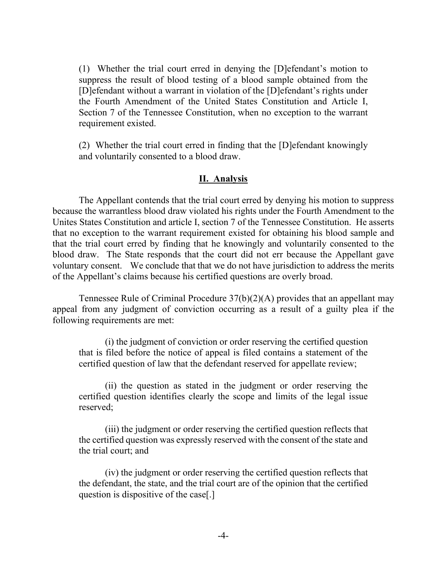(1) Whether the trial court erred in denying the [D]efendant's motion to suppress the result of blood testing of a blood sample obtained from the [D]efendant without a warrant in violation of the [D]efendant's rights under the Fourth Amendment of the United States Constitution and Article I, Section 7 of the Tennessee Constitution, when no exception to the warrant requirement existed.

(2) Whether the trial court erred in finding that the [D]efendant knowingly and voluntarily consented to a blood draw.

#### **II. Analysis**

The Appellant contends that the trial court erred by denying his motion to suppress because the warrantless blood draw violated his rights under the Fourth Amendment to the Unites States Constitution and article I, section 7 of the Tennessee Constitution. He asserts that no exception to the warrant requirement existed for obtaining his blood sample and that the trial court erred by finding that he knowingly and voluntarily consented to the blood draw. The State responds that the court did not err because the Appellant gave voluntary consent. We conclude that that we do not have jurisdiction to address the merits of the Appellant's claims because his certified questions are overly broad.

Tennessee Rule of Criminal Procedure 37(b)(2)(A) provides that an appellant may appeal from any judgment of conviction occurring as a result of a guilty plea if the following requirements are met:

(i) the judgment of conviction or order reserving the certified question that is filed before the notice of appeal is filed contains a statement of the certified question of law that the defendant reserved for appellate review;

(ii) the question as stated in the judgment or order reserving the certified question identifies clearly the scope and limits of the legal issue reserved;

(iii) the judgment or order reserving the certified question reflects that the certified question was expressly reserved with the consent of the state and the trial court; and

(iv) the judgment or order reserving the certified question reflects that the defendant, the state, and the trial court are of the opinion that the certified question is dispositive of the case[.]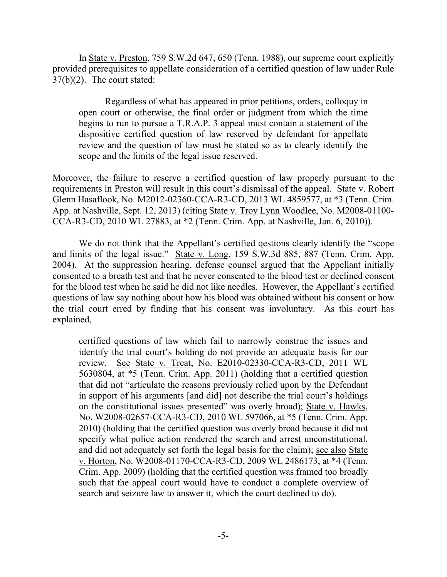In State v. Preston, 759 S.W.2d 647, 650 (Tenn. 1988), our supreme court explicitly provided prerequisites to appellate consideration of a certified question of law under Rule 37(b)(2). The court stated:

Regardless of what has appeared in prior petitions, orders, colloquy in open court or otherwise, the final order or judgment from which the time begins to run to pursue a T.R.A.P. 3 appeal must contain a statement of the dispositive certified question of law reserved by defendant for appellate review and the question of law must be stated so as to clearly identify the scope and the limits of the legal issue reserved.

Moreover, the failure to reserve a certified question of law properly pursuant to the requirements in Preston will result in this court's dismissal of the appeal. State v. Robert Glenn Hasaflook, No. M2012-02360-CCA-R3-CD, 2013 WL 4859577, at \*3 (Tenn. Crim. App. at Nashville, Sept. 12, 2013) (citing State v. Troy Lynn Woodlee, No. M2008-01100- CCA-R3-CD, 2010 WL 27883, at \*2 (Tenn. Crim. App. at Nashville, Jan. 6, 2010)).

We do not think that the Appellant's certified qestions clearly identify the "scope and limits of the legal issue." State v. Long, 159 S.W.3d 885, 887 (Tenn. Crim. App. 2004). At the suppression hearing, defense counsel argued that the Appellant initially consented to a breath test and that he never consented to the blood test or declined consent for the blood test when he said he did not like needles. However, the Appellant's certified questions of law say nothing about how his blood was obtained without his consent or how the trial court erred by finding that his consent was involuntary. As this court has explained,

certified questions of law which fail to narrowly construe the issues and identify the trial court's holding do not provide an adequate basis for our review. See State v. Treat, No. E2010-02330-CCA-R3-CD, 2011 WL 5630804, at \*5 (Tenn. Crim. App. 2011) (holding that a certified question that did not "articulate the reasons previously relied upon by the Defendant in support of his arguments [and did] not describe the trial court's holdings on the constitutional issues presented" was overly broad); State v. Hawks, No. W2008-02657-CCA-R3-CD, 2010 WL 597066, at \*5 (Tenn. Crim. App. 2010) (holding that the certified question was overly broad because it did not specify what police action rendered the search and arrest unconstitutional, and did not adequately set forth the legal basis for the claim); see also State v. Horton, No. W2008-01170-CCA-R3-CD, 2009 WL 2486173, at \*4 (Tenn. Crim. App. 2009) (holding that the certified question was framed too broadly such that the appeal court would have to conduct a complete overview of search and seizure law to answer it, which the court declined to do).